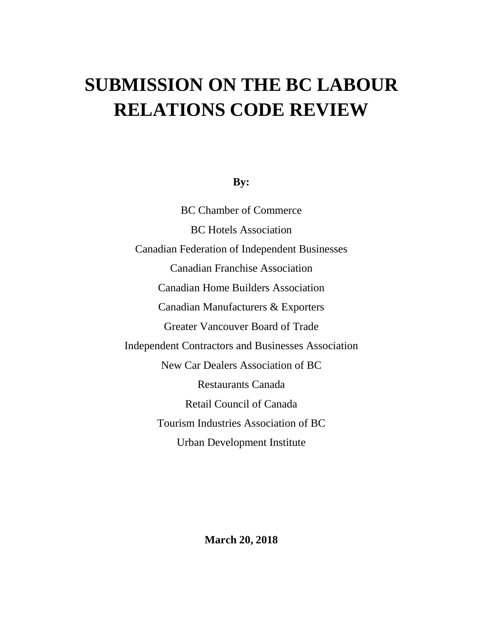# **SUBMISSION ON THE BC LABOUR RELATIONS CODE REVIEW**

# **By:**

BC Chamber of Commerce BC Hotels Association Canadian Federation of Independent Businesses Canadian Franchise Association Canadian Home Builders Association Canadian Manufacturers & Exporters Greater Vancouver Board of Trade Independent Contractors and Businesses Association New Car Dealers Association of BC Restaurants Canada Retail Council of Canada Tourism Industries Association of BC Urban Development Institute

**March 20, 2018**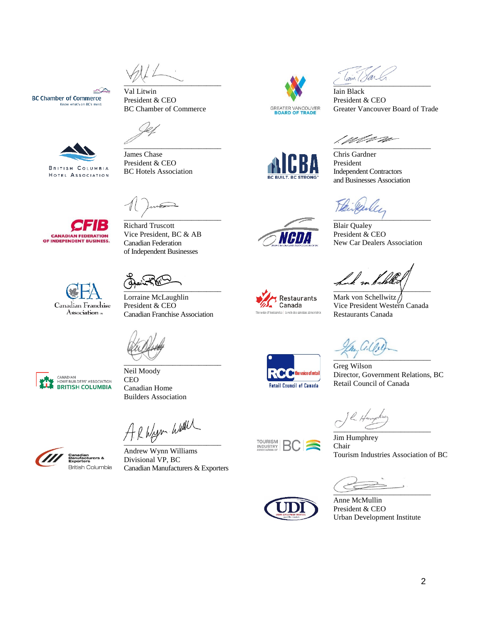$\sim$ 

BC Chamber of Commerce

 $\overline{\phantom{a}}$  , and the set of the set of the set of the set of the set of the set of the set of the set of the set of the set of the set of the set of the set of the set of the set of the set of the set of the set of the s

Val Litwin President & CEO

James Chase President & CEO BC Hotels Association

∠∕ **BC Chamber of Commerce** Know what's on BC's mind



HOTEL ASSOCIATION



Canadian Franchise

Association »

Richard Truscott Vice President, BC & AB Canadian Federation of Independent Businesses

 $\overline{\phantom{a}}$  ,  $\overline{\phantom{a}}$  ,  $\overline{\phantom{a}}$  ,  $\overline{\phantom{a}}$  ,  $\overline{\phantom{a}}$  ,  $\overline{\phantom{a}}$  ,  $\overline{\phantom{a}}$  ,  $\overline{\phantom{a}}$  ,  $\overline{\phantom{a}}$  ,  $\overline{\phantom{a}}$  ,  $\overline{\phantom{a}}$  ,  $\overline{\phantom{a}}$  ,  $\overline{\phantom{a}}$  ,  $\overline{\phantom{a}}$  ,  $\overline{\phantom{a}}$  ,  $\overline{\phantom{a}}$ 

 $\overline{\phantom{a}}$ 

Lorraine McLaughlin President & CEO Canadian Franchise Association

 $\sim$   $\sim$   $\sim$ 

Neil Moody

CANADIAN<br>HOME BUILDERS' ASSOCIATION **BRITISH COLUMBIA** 

**CEO** Canadian Home Builders Association

 $A$  R Wyer Wall

Andrew Wynn Williams Divisional VP, BC Canadian Manufacturers & Exporters



 $\overline{\phantom{a}}$ 

Iain Black President & CEO Greater Vancouver Board of Trade

 $\frac{1}{2}$  ,  $\frac{1}{2}$  ,  $\frac{1}{2}$  ,  $\frac{1}{2}$  ,  $\frac{1}{2}$  ,  $\frac{1}{2}$  ,  $\frac{1}{2}$  ,  $\frac{1}{2}$  ,  $\frac{1}{2}$  ,  $\frac{1}{2}$  ,  $\frac{1}{2}$  ,  $\frac{1}{2}$  ,  $\frac{1}{2}$  ,  $\frac{1}{2}$  ,  $\frac{1}{2}$  ,  $\frac{1}{2}$  ,  $\frac{1}{2}$  ,  $\frac{1}{2}$  ,  $\frac{1$ 

Chris Gardner President Independent Contractors and Businesses Association



Blair Qualey President & CEO New Car Dealers Association

 $\vee$ 

Mark von Schellwitz Vice President Western Canada Restaurants Canada

 $\cdot$  ,  $\cdot$  ,  $\cdot$  ,  $\cdot$  ,  $\cdot$  ,  $\cdot$  ,  $\cdot$  ,  $\cdot$  ,  $\cdot$  ,  $\cdot$  ,  $\cdot$  ,  $\cdot$  ,  $\cdot$  ,  $\cdot$  ,  $\cdot$  ,  $\cdot$  ,  $\cdot$  ,  $\cdot$  ,  $\cdot$  ,  $\cdot$  ,  $\cdot$  ,  $\cdot$  ,  $\cdot$  ,  $\cdot$  ,  $\cdot$  ,  $\cdot$  ,  $\cdot$  ,  $\cdot$  ,  $\cdot$  ,  $\cdot$  ,  $\cdot$  ,  $\cdot$ 

voice of retai **Retail Council of Canada** 

**Restaurants** 

Canada

The voice of foodservice | La voix des service

Greg Wilson Director, Government Relations, BC Retail Council of Canada

 $\overline{\phantom{a}}$ 

Jim Humphrey Chair Tourism Industries Association of BC

 $\overline{\phantom{a}}$ 



**TOURISM**<br>INDUSTRY

Anne McMullin President & CEO Urban Development Institute





2

'I'HII.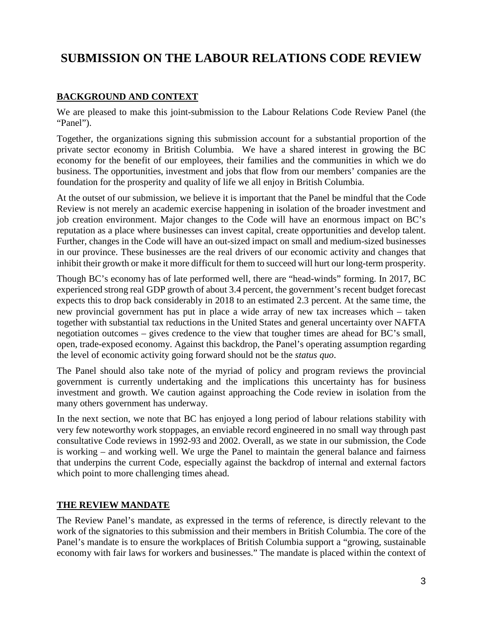# **SUBMISSION ON THE LABOUR RELATIONS CODE REVIEW**

# **BACKGROUND AND CONTEXT**

We are pleased to make this joint-submission to the Labour Relations Code Review Panel (the "Panel").

Together, the organizations signing this submission account for a substantial proportion of the private sector economy in British Columbia. We have a shared interest in growing the BC economy for the benefit of our employees, their families and the communities in which we do business. The opportunities, investment and jobs that flow from our members' companies are the foundation for the prosperity and quality of life we all enjoy in British Columbia.

At the outset of our submission, we believe it is important that the Panel be mindful that the Code Review is not merely an academic exercise happening in isolation of the broader investment and job creation environment. Major changes to the Code will have an enormous impact on BC's reputation as a place where businesses can invest capital, create opportunities and develop talent. Further, changes in the Code will have an out-sized impact on small and medium-sized businesses in our province. These businesses are the real drivers of our economic activity and changes that inhibit their growth or make it more difficult for them to succeed will hurt our long-term prosperity.

Though BC's economy has of late performed well, there are "head-winds" forming. In 2017, BC experienced strong real GDP growth of about 3.4 percent, the government's recent budget forecast expects this to drop back considerably in 2018 to an estimated 2.3 percent. At the same time, the new provincial government has put in place a wide array of new tax increases which – taken together with substantial tax reductions in the United States and general uncertainty over NAFTA negotiation outcomes – gives credence to the view that tougher times are ahead for BC's small, open, trade-exposed economy. Against this backdrop, the Panel's operating assumption regarding the level of economic activity going forward should not be the *status quo*.

The Panel should also take note of the myriad of policy and program reviews the provincial government is currently undertaking and the implications this uncertainty has for business investment and growth. We caution against approaching the Code review in isolation from the many others government has underway.

In the next section, we note that BC has enjoyed a long period of labour relations stability with very few noteworthy work stoppages, an enviable record engineered in no small way through past consultative Code reviews in 1992-93 and 2002. Overall, as we state in our submission, the Code is working – and working well. We urge the Panel to maintain the general balance and fairness that underpins the current Code, especially against the backdrop of internal and external factors which point to more challenging times ahead.

# **THE REVIEW MANDATE**

The Review Panel's mandate, as expressed in the terms of reference, is directly relevant to the work of the signatories to this submission and their members in British Columbia. The core of the Panel's mandate is to ensure the workplaces of British Columbia support a "growing, sustainable economy with fair laws for workers and businesses." The mandate is placed within the context of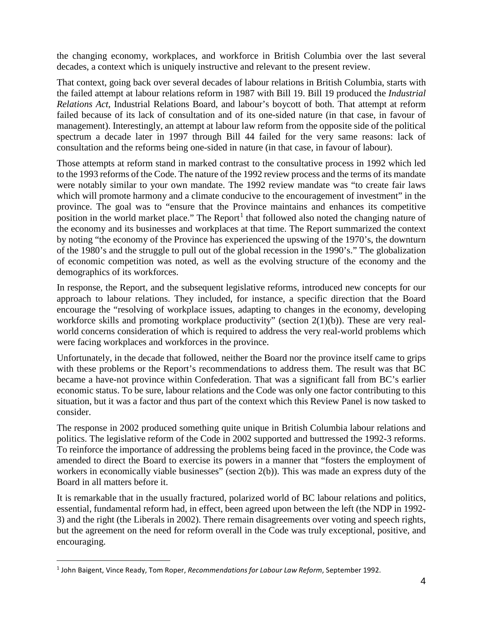the changing economy, workplaces, and workforce in British Columbia over the last several decades, a context which is uniquely instructive and relevant to the present review.

That context, going back over several decades of labour relations in British Columbia, starts with the failed attempt at labour relations reform in 1987 with Bill 19. Bill 19 produced the *Industrial Relations Act*, Industrial Relations Board, and labour's boycott of both. That attempt at reform failed because of its lack of consultation and of its one-sided nature (in that case, in favour of management). Interestingly, an attempt at labour law reform from the opposite side of the political spectrum a decade later in 1997 through Bill 44 failed for the very same reasons: lack of consultation and the reforms being one-sided in nature (in that case, in favour of labour).

Those attempts at reform stand in marked contrast to the consultative process in 1992 which led to the 1993 reforms of the Code. The nature of the 1992 review process and the terms of its mandate were notably similar to your own mandate. The 1992 review mandate was "to create fair laws which will promote harmony and a climate conducive to the encouragement of investment" in the province. The goal was to "ensure that the Province maintains and enhances its competitive position in the world market place." The Report<sup>[1](#page-3-0)</sup> that followed also noted the changing nature of the economy and its businesses and workplaces at that time. The Report summarized the context by noting "the economy of the Province has experienced the upswing of the 1970's, the downturn of the 1980's and the struggle to pull out of the global recession in the 1990's." The globalization of economic competition was noted, as well as the evolving structure of the economy and the demographics of its workforces.

In response, the Report, and the subsequent legislative reforms, introduced new concepts for our approach to labour relations. They included, for instance, a specific direction that the Board encourage the "resolving of workplace issues, adapting to changes in the economy, developing workforce skills and promoting workplace productivity" (section 2(1)(b)). These are very realworld concerns consideration of which is required to address the very real-world problems which were facing workplaces and workforces in the province.

Unfortunately, in the decade that followed, neither the Board nor the province itself came to grips with these problems or the Report's recommendations to address them. The result was that BC became a have-not province within Confederation. That was a significant fall from BC's earlier economic status. To be sure, labour relations and the Code was only one factor contributing to this situation, but it was a factor and thus part of the context which this Review Panel is now tasked to consider.

The response in 2002 produced something quite unique in British Columbia labour relations and politics. The legislative reform of the Code in 2002 supported and buttressed the 1992-3 reforms. To reinforce the importance of addressing the problems being faced in the province, the Code was amended to direct the Board to exercise its powers in a manner that "fosters the employment of workers in economically viable businesses" (section 2(b)). This was made an express duty of the Board in all matters before it.

It is remarkable that in the usually fractured, polarized world of BC labour relations and politics, essential, fundamental reform had, in effect, been agreed upon between the left (the NDP in 1992- 3) and the right (the Liberals in 2002). There remain disagreements over voting and speech rights, but the agreement on the need for reform overall in the Code was truly exceptional, positive, and encouraging.

<span id="page-3-0"></span> <sup>1</sup> John Baigent, Vince Ready, Tom Roper, *Recommendations for Labour Law Reform*, September 1992.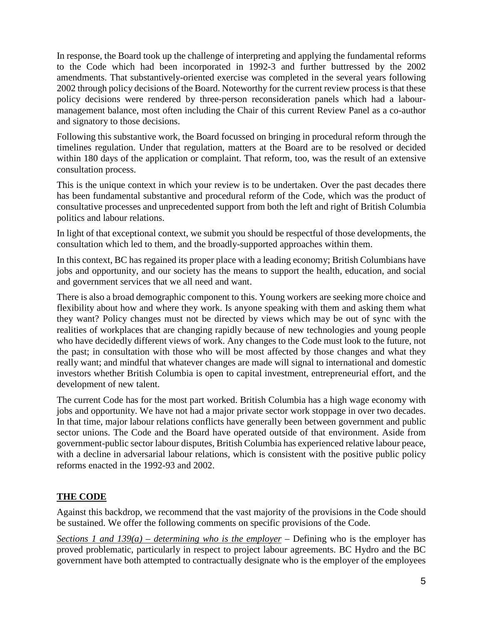In response, the Board took up the challenge of interpreting and applying the fundamental reforms to the Code which had been incorporated in 1992-3 and further buttressed by the 2002 amendments. That substantively-oriented exercise was completed in the several years following 2002 through policy decisions of the Board. Noteworthy for the current review process is that these policy decisions were rendered by three-person reconsideration panels which had a labourmanagement balance, most often including the Chair of this current Review Panel as a co-author and signatory to those decisions.

Following this substantive work, the Board focussed on bringing in procedural reform through the timelines regulation. Under that regulation, matters at the Board are to be resolved or decided within 180 days of the application or complaint. That reform, too, was the result of an extensive consultation process.

This is the unique context in which your review is to be undertaken. Over the past decades there has been fundamental substantive and procedural reform of the Code, which was the product of consultative processes and unprecedented support from both the left and right of British Columbia politics and labour relations.

In light of that exceptional context, we submit you should be respectful of those developments, the consultation which led to them, and the broadly-supported approaches within them.

In this context, BC has regained its proper place with a leading economy; British Columbians have jobs and opportunity, and our society has the means to support the health, education, and social and government services that we all need and want.

There is also a broad demographic component to this. Young workers are seeking more choice and flexibility about how and where they work. Is anyone speaking with them and asking them what they want? Policy changes must not be directed by views which may be out of sync with the realities of workplaces that are changing rapidly because of new technologies and young people who have decidedly different views of work. Any changes to the Code must look to the future, not the past; in consultation with those who will be most affected by those changes and what they really want; and mindful that whatever changes are made will signal to international and domestic investors whether British Columbia is open to capital investment, entrepreneurial effort, and the development of new talent.

The current Code has for the most part worked. British Columbia has a high wage economy with jobs and opportunity. We have not had a major private sector work stoppage in over two decades. In that time, major labour relations conflicts have generally been between government and public sector unions. The Code and the Board have operated outside of that environment. Aside from government-public sector labour disputes, British Columbia has experienced relative labour peace, with a decline in adversarial labour relations, which is consistent with the positive public policy reforms enacted in the 1992-93 and 2002.

# **THE CODE**

Against this backdrop, we recommend that the vast majority of the provisions in the Code should be sustained. We offer the following comments on specific provisions of the Code.

*Sections 1 and 139(a) – determining who is the employer* – Defining who is the employer has proved problematic, particularly in respect to project labour agreements. BC Hydro and the BC government have both attempted to contractually designate who is the employer of the employees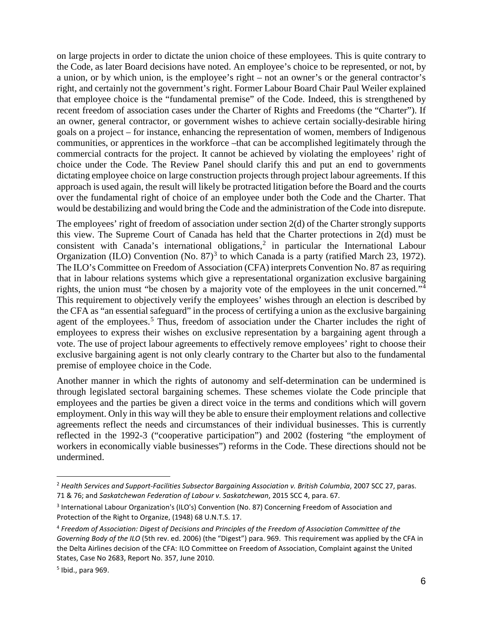on large projects in order to dictate the union choice of these employees. This is quite contrary to the Code, as later Board decisions have noted. An employee's choice to be represented, or not, by a union, or by which union, is the employee's right – not an owner's or the general contractor's right, and certainly not the government's right. Former Labour Board Chair Paul Weiler explained that employee choice is the "fundamental premise" of the Code. Indeed, this is strengthened by recent freedom of association cases under the Charter of Rights and Freedoms (the "Charter"). If an owner, general contractor, or government wishes to achieve certain socially-desirable hiring goals on a project – for instance, enhancing the representation of women, members of Indigenous communities, or apprentices in the workforce –that can be accomplished legitimately through the commercial contracts for the project. It cannot be achieved by violating the employees' right of choice under the Code. The Review Panel should clarify this and put an end to governments dictating employee choice on large construction projects through project labour agreements. If this approach is used again, the result will likely be protracted litigation before the Board and the courts over the fundamental right of choice of an employee under both the Code and the Charter. That would be destabilizing and would bring the Code and the administration of the Code into disrepute.

The employees' right of freedom of association under section 2(d) of the Charter strongly supports this view. The Supreme Court of Canada has held that the Charter protections in 2(d) must be consistent with Canada's international obligations, [2](#page-5-0) in particular the International Labour Organization (ILO) Convention (No.  $87<sup>3</sup>$  $87<sup>3</sup>$  $87<sup>3</sup>$  to which Canada is a party (ratified March 23, 1972). The ILO's Committee on Freedom of Association (CFA) interprets Convention No. 87 as requiring that in labour relations systems which give a representational organization exclusive bargaining rights, the union must "be chosen by a majority vote of the employees in the unit concerned."[4](#page-5-2) This requirement to objectively verify the employees' wishes through an election is described by the CFA as "an essential safeguard" in the process of certifying a union as the exclusive bargaining agent of the employees.<sup>[5](#page-5-3)</sup> Thus, freedom of association under the Charter includes the right of employees to express their wishes on exclusive representation by a bargaining agent through a vote. The use of project labour agreements to effectively remove employees' right to choose their exclusive bargaining agent is not only clearly contrary to the Charter but also to the fundamental premise of employee choice in the Code.

Another manner in which the rights of autonomy and self-determination can be undermined is through legislated sectoral bargaining schemes. These schemes violate the Code principle that employees and the parties be given a direct voice in the terms and conditions which will govern employment. Only in this way will they be able to ensure their employment relations and collective agreements reflect the needs and circumstances of their individual businesses. This is currently reflected in the 1992-3 ("cooperative participation") and 2002 (fostering "the employment of workers in economically viable businesses") reforms in the Code. These directions should not be undermined.

<span id="page-5-0"></span> <sup>2</sup> *Health Services and Support-Facilities Subsector Bargaining Association v. British Columbia*, 2007 SCC 27, paras. 71 & 76; and *Saskatchewan Federation of Labour v. Saskatchewan*, 2015 SCC 4, para. 67.

<span id="page-5-1"></span><sup>&</sup>lt;sup>3</sup> International Labour Organization's (ILO's) Convention (No. 87) Concerning Freedom of Association and Protection of the Right to Organize, (1948) 68 U.N.T.S. 17.

<span id="page-5-2"></span><sup>4</sup> *Freedom of Association: Digest of Decisions and Principles of the Freedom of Association Committee of the Governing Body of the ILO* (5th rev. ed. 2006) (the "Digest") para. 969. This requirement was applied by the CFA in the Delta Airlines decision of the CFA: ILO Committee on Freedom of Association, Complaint against the United States, Case No 2683, Report No. 357, June 2010.

<span id="page-5-3"></span> $<sup>5</sup>$  Ibid., para 969.</sup>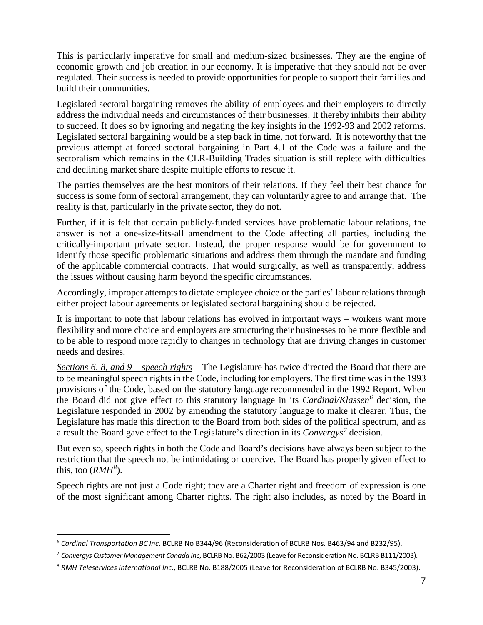This is particularly imperative for small and medium-sized businesses. They are the engine of economic growth and job creation in our economy. It is imperative that they should not be over regulated. Their success is needed to provide opportunities for people to support their families and build their communities.

Legislated sectoral bargaining removes the ability of employees and their employers to directly address the individual needs and circumstances of their businesses. It thereby inhibits their ability to succeed. It does so by ignoring and negating the key insights in the 1992-93 and 2002 reforms. Legislated sectoral bargaining would be a step back in time, not forward. It is noteworthy that the previous attempt at forced sectoral bargaining in Part 4.1 of the Code was a failure and the sectoralism which remains in the CLR-Building Trades situation is still replete with difficulties and declining market share despite multiple efforts to rescue it.

The parties themselves are the best monitors of their relations. If they feel their best chance for success is some form of sectoral arrangement, they can voluntarily agree to and arrange that. The reality is that, particularly in the private sector, they do not.

Further, if it is felt that certain publicly-funded services have problematic labour relations, the answer is not a one-size-fits-all amendment to the Code affecting all parties, including the critically-important private sector. Instead, the proper response would be for government to identify those specific problematic situations and address them through the mandate and funding of the applicable commercial contracts. That would surgically, as well as transparently, address the issues without causing harm beyond the specific circumstances.

Accordingly, improper attempts to dictate employee choice or the parties' labour relations through either project labour agreements or legislated sectoral bargaining should be rejected.

It is important to note that labour relations has evolved in important ways – workers want more flexibility and more choice and employers are structuring their businesses to be more flexible and to be able to respond more rapidly to changes in technology that are driving changes in customer needs and desires.

*Sections 6, 8, and 9 – speech rights* – The Legislature has twice directed the Board that there are to be meaningful speech rights in the Code, including for employers. The first time was in the 1993 provisions of the Code, based on the statutory language recommended in the 1992 Report. When the Board did not give effect to this statutory language in its *Cardinal/Klassen[6](#page-6-0)* decision, the Legislature responded in 2002 by amending the statutory language to make it clearer. Thus, the Legislature has made this direction to the Board from both sides of the political spectrum, and as a result the Board gave effect to the Legislature's direction in its *Convergys[7](#page-6-1)* decision.

But even so, speech rights in both the Code and Board's decisions have always been subject to the restriction that the speech not be intimidating or coercive. The Board has properly given effect to this, too (*RMH[8](#page-6-2)* ).

Speech rights are not just a Code right; they are a Charter right and freedom of expression is one of the most significant among Charter rights. The right also includes, as noted by the Board in

<span id="page-6-0"></span> <sup>6</sup> *Cardinal Transportation BC Inc*. BCLRB No B344/96 (Reconsideration of BCLRB Nos. B463/94 and B232/95).

<span id="page-6-1"></span><sup>7</sup> *Convergys Customer Management Canada Inc*, BCLRB No. B62/2003 (Leave for Reconsideration No. BCLRB B111/2003).

<span id="page-6-2"></span><sup>8</sup> *RMH Teleservices International Inc*., BCLRB No. B188/2005 (Leave for Reconsideration of BCLRB No. B345/2003).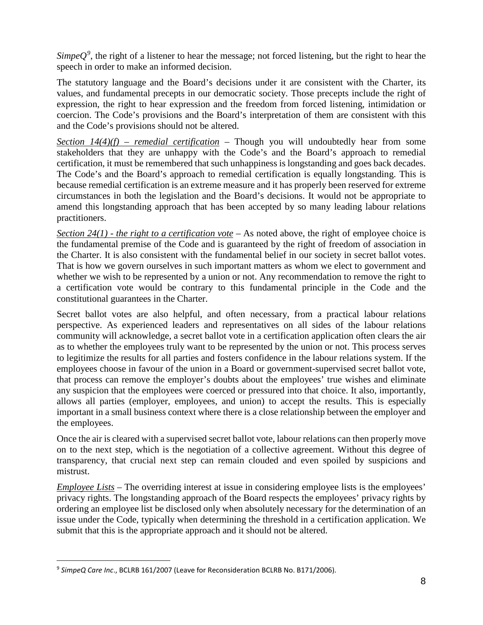*Simpe* $Q^9$  $Q^9$ , the right of a listener to hear the message; not forced listening, but the right to hear the speech in order to make an informed decision.

The statutory language and the Board's decisions under it are consistent with the Charter, its values, and fundamental precepts in our democratic society. Those precepts include the right of expression, the right to hear expression and the freedom from forced listening, intimidation or coercion. The Code's provisions and the Board's interpretation of them are consistent with this and the Code's provisions should not be altered.

*Section 14(4)(f) – remedial certification* – Though you will undoubtedly hear from some stakeholders that they are unhappy with the Code's and the Board's approach to remedial certification, it must be remembered that such unhappiness is longstanding and goes back decades. The Code's and the Board's approach to remedial certification is equally longstanding. This is because remedial certification is an extreme measure and it has properly been reserved for extreme circumstances in both the legislation and the Board's decisions. It would not be appropriate to amend this longstanding approach that has been accepted by so many leading labour relations practitioners.

*Section 24(1) - the right to a certification vote* – As noted above, the right of employee choice is the fundamental premise of the Code and is guaranteed by the right of freedom of association in the Charter. It is also consistent with the fundamental belief in our society in secret ballot votes. That is how we govern ourselves in such important matters as whom we elect to government and whether we wish to be represented by a union or not. Any recommendation to remove the right to a certification vote would be contrary to this fundamental principle in the Code and the constitutional guarantees in the Charter.

Secret ballot votes are also helpful, and often necessary, from a practical labour relations perspective. As experienced leaders and representatives on all sides of the labour relations community will acknowledge, a secret ballot vote in a certification application often clears the air as to whether the employees truly want to be represented by the union or not. This process serves to legitimize the results for all parties and fosters confidence in the labour relations system. If the employees choose in favour of the union in a Board or government-supervised secret ballot vote, that process can remove the employer's doubts about the employees' true wishes and eliminate any suspicion that the employees were coerced or pressured into that choice. It also, importantly, allows all parties (employer, employees, and union) to accept the results. This is especially important in a small business context where there is a close relationship between the employer and the employees.

Once the air is cleared with a supervised secret ballot vote, labour relations can then properly move on to the next step, which is the negotiation of a collective agreement. Without this degree of transparency, that crucial next step can remain clouded and even spoiled by suspicions and mistrust.

*Employee Lists* – The overriding interest at issue in considering employee lists is the employees' privacy rights. The longstanding approach of the Board respects the employees' privacy rights by ordering an employee list be disclosed only when absolutely necessary for the determination of an issue under the Code, typically when determining the threshold in a certification application. We submit that this is the appropriate approach and it should not be altered.

<span id="page-7-0"></span> <sup>9</sup> *SimpeQ Care Inc*., BCLRB 161/2007 (Leave for Reconsideration BCLRB No. B171/2006).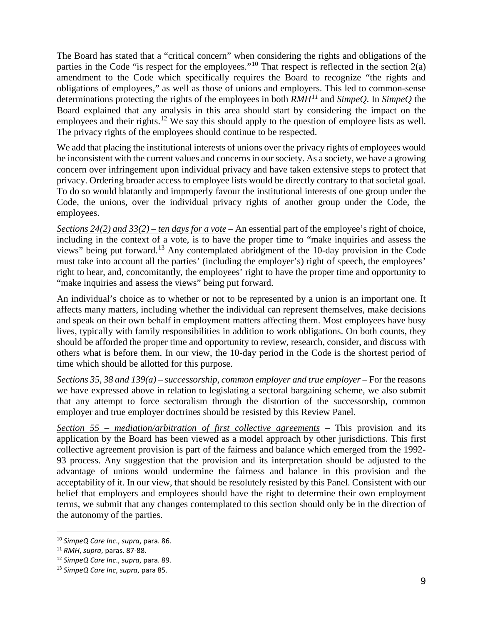The Board has stated that a "critical concern" when considering the rights and obligations of the parties in the Code "is respect for the employees."<sup>[10](#page-8-0)</sup> That respect is reflected in the section  $2(a)$ amendment to the Code which specifically requires the Board to recognize "the rights and obligations of employees," as well as those of unions and employers. This led to common-sense determinations protecting the rights of the employees in both *RMH[11](#page-8-1)* and *SimpeQ*. In *SimpeQ* the Board explained that any analysis in this area should start by considering the impact on the employees and their rights.<sup>[12](#page-8-2)</sup> We say this should apply to the question of employee lists as well. The privacy rights of the employees should continue to be respected.

We add that placing the institutional interests of unions over the privacy rights of employees would be inconsistent with the current values and concerns in our society. As a society, we have a growing concern over infringement upon individual privacy and have taken extensive steps to protect that privacy. Ordering broader access to employee lists would be directly contrary to that societal goal. To do so would blatantly and improperly favour the institutional interests of one group under the Code, the unions, over the individual privacy rights of another group under the Code, the employees.

*Sections 24(2) and 33(2) – ten days for a vote* – An essential part of the employee's right of choice, including in the context of a vote, is to have the proper time to "make inquiries and assess the views" being put forward.<sup>[13](#page-8-3)</sup> Any contemplated abridgment of the 10-day provision in the Code must take into account all the parties' (including the employer's) right of speech, the employees' right to hear, and, concomitantly, the employees' right to have the proper time and opportunity to "make inquiries and assess the views" being put forward.

An individual's choice as to whether or not to be represented by a union is an important one. It affects many matters, including whether the individual can represent themselves, make decisions and speak on their own behalf in employment matters affecting them. Most employees have busy lives, typically with family responsibilities in addition to work obligations. On both counts, they should be afforded the proper time and opportunity to review, research, consider, and discuss with others what is before them. In our view, the 10-day period in the Code is the shortest period of time which should be allotted for this purpose.

*Sections 35, 38 and 139(a) – successorship, common employer and true employer* – For the reasons we have expressed above in relation to legislating a sectoral bargaining scheme, we also submit that any attempt to force sectoralism through the distortion of the successorship, common employer and true employer doctrines should be resisted by this Review Panel.

*Section 55 – mediation/arbitration of first collective agreements* – This provision and its application by the Board has been viewed as a model approach by other jurisdictions. This first collective agreement provision is part of the fairness and balance which emerged from the 1992- 93 process. Any suggestion that the provision and its interpretation should be adjusted to the advantage of unions would undermine the fairness and balance in this provision and the acceptability of it. In our view, that should be resolutely resisted by this Panel. Consistent with our belief that employers and employees should have the right to determine their own employment terms, we submit that any changes contemplated to this section should only be in the direction of the autonomy of the parties.

<span id="page-8-0"></span> <sup>10</sup> *SimpeQ Care Inc*., *supra*, para. 86.

<span id="page-8-1"></span><sup>11</sup> *RMH*, *supra*, paras. 87-88.

<span id="page-8-2"></span><sup>12</sup> *SimpeQ Care Inc*., *supra*, para. 89.

<span id="page-8-3"></span><sup>13</sup> *SimpeQ Care Inc*, *supra*, para 85.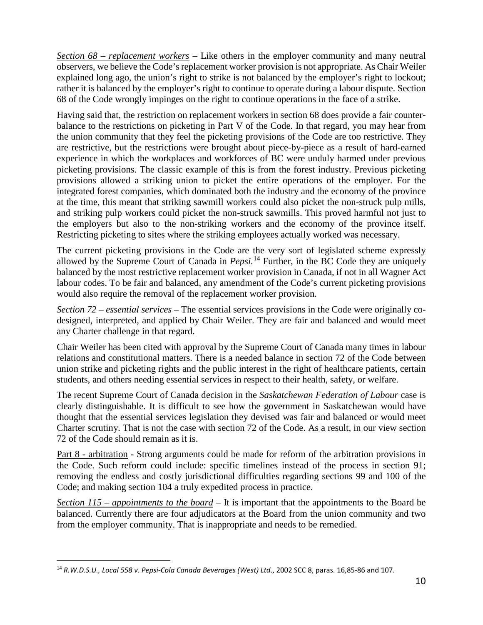*Section 68 – replacement workers* – Like others in the employer community and many neutral observers, we believe the Code's replacement worker provision is not appropriate. As Chair Weiler explained long ago, the union's right to strike is not balanced by the employer's right to lockout; rather it is balanced by the employer's right to continue to operate during a labour dispute. Section 68 of the Code wrongly impinges on the right to continue operations in the face of a strike.

Having said that, the restriction on replacement workers in section 68 does provide a fair counterbalance to the restrictions on picketing in Part V of the Code. In that regard, you may hear from the union community that they feel the picketing provisions of the Code are too restrictive. They are restrictive, but the restrictions were brought about piece-by-piece as a result of hard-earned experience in which the workplaces and workforces of BC were unduly harmed under previous picketing provisions. The classic example of this is from the forest industry. Previous picketing provisions allowed a striking union to picket the entire operations of the employer. For the integrated forest companies, which dominated both the industry and the economy of the province at the time, this meant that striking sawmill workers could also picket the non-struck pulp mills, and striking pulp workers could picket the non-struck sawmills. This proved harmful not just to the employers but also to the non-striking workers and the economy of the province itself. Restricting picketing to sites where the striking employees actually worked was necessary.

The current picketing provisions in the Code are the very sort of legislated scheme expressly allowed by the Supreme Court of Canada in *Pepsi.*[14](#page-9-0) Further, in the BC Code they are uniquely balanced by the most restrictive replacement worker provision in Canada, if not in all Wagner Act labour codes. To be fair and balanced, any amendment of the Code's current picketing provisions would also require the removal of the replacement worker provision.

*Section 72 – essential services* – The essential services provisions in the Code were originally codesigned, interpreted, and applied by Chair Weiler. They are fair and balanced and would meet any Charter challenge in that regard.

Chair Weiler has been cited with approval by the Supreme Court of Canada many times in labour relations and constitutional matters. There is a needed balance in section 72 of the Code between union strike and picketing rights and the public interest in the right of healthcare patients, certain students, and others needing essential services in respect to their health, safety, or welfare.

The recent Supreme Court of Canada decision in the *Saskatchewan Federation of Labour* case is clearly distinguishable. It is difficult to see how the government in Saskatchewan would have thought that the essential services legislation they devised was fair and balanced or would meet Charter scrutiny. That is not the case with section 72 of the Code. As a result, in our view section 72 of the Code should remain as it is.

Part 8 - arbitration - Strong arguments could be made for reform of the arbitration provisions in the Code. Such reform could include: specific timelines instead of the process in section 91; removing the endless and costly jurisdictional difficulties regarding sections 99 and 100 of the Code; and making section 104 a truly expedited process in practice.

*Section 115 – appointments to the board* – It is important that the appointments to the Board be balanced. Currently there are four adjudicators at the Board from the union community and two from the employer community. That is inappropriate and needs to be remedied.

<span id="page-9-0"></span> <sup>14</sup> *R.W.D.S.U., Local 558 v. Pepsi-Cola Canada Beverages (West) Ltd*., 2002 SCC 8, paras. 16,85-86 and 107.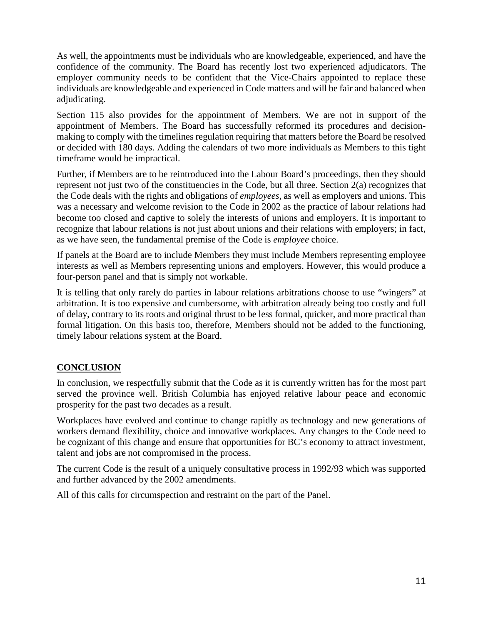As well, the appointments must be individuals who are knowledgeable, experienced, and have the confidence of the community. The Board has recently lost two experienced adjudicators. The employer community needs to be confident that the Vice-Chairs appointed to replace these individuals are knowledgeable and experienced in Code matters and will be fair and balanced when adjudicating.

Section 115 also provides for the appointment of Members. We are not in support of the appointment of Members. The Board has successfully reformed its procedures and decisionmaking to comply with the timelines regulation requiring that matters before the Board be resolved or decided with 180 days. Adding the calendars of two more individuals as Members to this tight timeframe would be impractical.

Further, if Members are to be reintroduced into the Labour Board's proceedings, then they should represent not just two of the constituencies in the Code, but all three. Section 2(a) recognizes that the Code deals with the rights and obligations of *employees*, as well as employers and unions. This was a necessary and welcome revision to the Code in 2002 as the practice of labour relations had become too closed and captive to solely the interests of unions and employers. It is important to recognize that labour relations is not just about unions and their relations with employers; in fact, as we have seen, the fundamental premise of the Code is *employee* choice.

If panels at the Board are to include Members they must include Members representing employee interests as well as Members representing unions and employers. However, this would produce a four-person panel and that is simply not workable.

It is telling that only rarely do parties in labour relations arbitrations choose to use "wingers" at arbitration. It is too expensive and cumbersome, with arbitration already being too costly and full of delay, contrary to its roots and original thrust to be less formal, quicker, and more practical than formal litigation. On this basis too, therefore, Members should not be added to the functioning, timely labour relations system at the Board.

# **CONCLUSION**

In conclusion, we respectfully submit that the Code as it is currently written has for the most part served the province well. British Columbia has enjoyed relative labour peace and economic prosperity for the past two decades as a result.

Workplaces have evolved and continue to change rapidly as technology and new generations of workers demand flexibility, choice and innovative workplaces. Any changes to the Code need to be cognizant of this change and ensure that opportunities for BC's economy to attract investment, talent and jobs are not compromised in the process.

The current Code is the result of a uniquely consultative process in 1992/93 which was supported and further advanced by the 2002 amendments.

All of this calls for circumspection and restraint on the part of the Panel.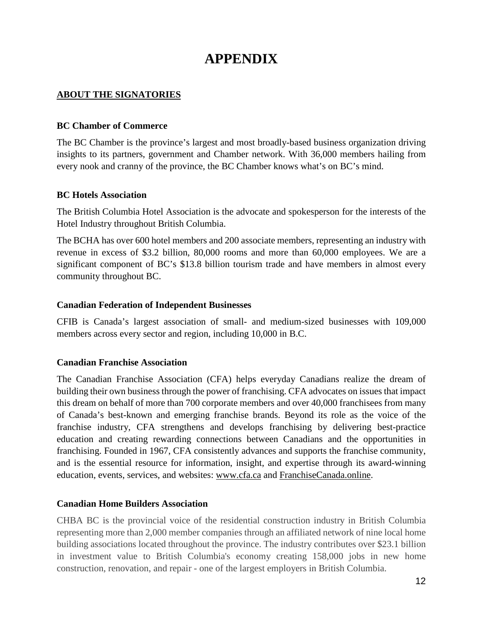# **APPENDIX**

# **ABOUT THE SIGNATORIES**

#### **BC Chamber of Commerce**

The BC Chamber is the province's largest and most broadly-based business organization driving insights to its partners, government and Chamber network. With 36,000 members hailing from every nook and cranny of the province, the BC Chamber knows what's on BC's mind.

#### **BC Hotels Association**

The British Columbia Hotel Association is the advocate and spokesperson for the interests of the Hotel Industry throughout British Columbia.

The BCHA has over 600 hotel members and 200 associate members, representing an industry with revenue in excess of \$3.2 billion, 80,000 rooms and more than 60,000 employees. We are a significant component of BC's \$13.8 billion tourism trade and have members in almost every community throughout BC.

#### **Canadian Federation of Independent Businesses**

CFIB is Canada's largest association of small- and medium-sized businesses with 109,000 members across every sector and region, including 10,000 in B.C.

#### **Canadian Franchise Association**

The Canadian Franchise Association (CFA) helps everyday Canadians realize the dream of building their own business through the power of franchising. CFA advocates on issues that impact this dream on behalf of more than 700 corporate members and over 40,000 franchisees from many of Canada's best-known and emerging franchise brands. Beyond its role as the voice of the franchise industry, CFA strengthens and develops franchising by delivering best-practice education and creating rewarding connections between Canadians and the opportunities in franchising. Founded in 1967, CFA consistently advances and supports the franchise community, and is the essential resource for information, insight, and expertise through its award-winning education, events, services, and websites: [www.cfa.ca](http://www.cfa.ca/) and [FranchiseCanada.online.](http://franchisecanada.online/)

#### **Canadian Home Builders Association**

CHBA BC is the provincial voice of the residential construction industry in British Columbia representing more than 2,000 member companies through an affiliated network of nine local home building associations located throughout the province. The industry contributes over \$23.1 billion in investment value to British Columbia's economy creating 158,000 jobs in new home construction, renovation, and repair - one of the largest employers in British Columbia.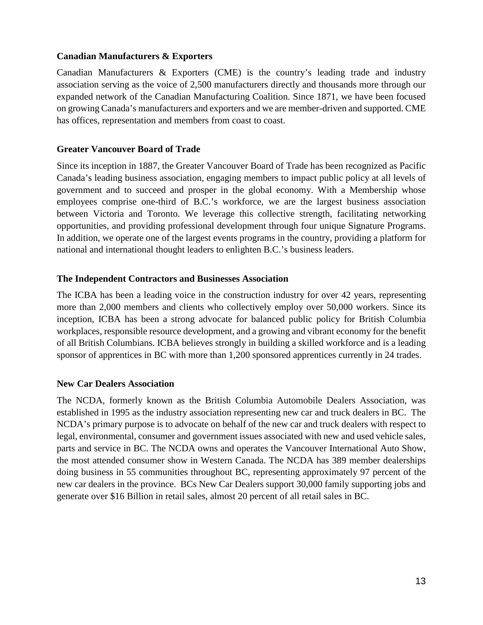#### **Canadian Manufacturers & Exporters**

Canadian Manufacturers & Exporters (CME) is the country's leading trade and industry association serving as the voice of 2,500 manufacturers directly and thousands more through our expanded network of the Canadian Manufacturing Coalition. Since 1871, we have been focused on growing Canada's manufacturers and exporters and we are member-driven and supported. CME has offices, representation and members from coast to coast.

#### **Greater Vancouver Board of Trade**

Since its inception in 1887, the Greater Vancouver Board of Trade has been recognized as Pacific Canada's leading business association, engaging members to impact public policy at all levels of government and to succeed and prosper in the global economy. With a Membership whose employees comprise one-third of B.C.'s workforce, we are the largest business association between Victoria and Toronto. We leverage this collective strength, facilitating networking opportunities, and providing professional development through four unique Signature Programs. In addition, we operate one of the largest events programs in the country, providing a platform for national and international thought leaders to enlighten B.C.'s business leaders.

#### **The Independent Contractors and Businesses Association**

The ICBA has been a leading voice in the construction industry for over 42 years, representing more than 2,000 members and clients who collectively employ over 50,000 workers. Since its inception, ICBA has been a strong advocate for balanced public policy for British Columbia workplaces, responsible resource development, and a growing and vibrant economy for the benefit of all British Columbians. ICBA believes strongly in building a skilled workforce and is a leading sponsor of apprentices in BC with more than 1,200 sponsored apprentices currently in 24 trades.

# **New Car Dealers Association**

The NCDA, formerly known as the British Columbia Automobile Dealers Association, was established in 1995 as the industry association representing new car and truck dealers in BC. The NCDA's primary purpose is to advocate on behalf of the new car and truck dealers with respect to legal, environmental, consumer and government issues associated with new and used vehicle sales, parts and service in BC. The NCDA owns and operates the Vancouver International Auto Show, the most attended consumer show in Western Canada. The NCDA has 389 member dealerships doing business in 55 communities throughout BC, representing approximately 97 percent of the new car dealers in the province. BCs New Car Dealers support 30,000 family supporting jobs and generate over \$16 Billion in retail sales, almost 20 percent of all retail sales in BC.